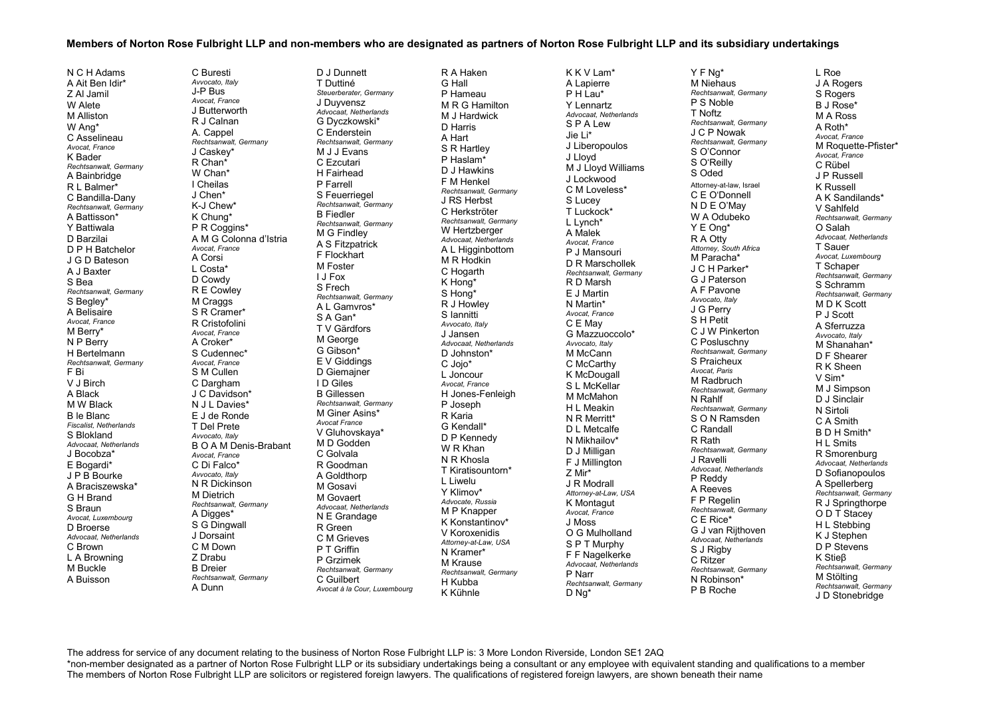## Members of Norton Rose Fulbright LLP and non-members who are designated as partners of Norton Rose Fulbright LLP and its subsidiary undertakings

N C H Adams A Ait Ben Idir\* Z Al Jamil W Alete M Alliston W Ang\* C Asselineau *Avocat, France*  K Bader *Rechtsanwalt, Germany*  A Bainbridge R L Balmer\* C Bandilla-Dany *Rechtsanwalt, Germany* A Battisson\* Y Battiwala D Barzilai D P H Batchelor J G D Bateson A J Baxter S Bea *Rechtsanwalt, Germany*  S Begley\* A Belisaire *Avocat, France*  M Berry\* N P Berry H Bertelmann *Rechtsanwalt, Germany*  F Bi V J Birch A Black M W Black B le Blanc *Fiscalist, Netherlands*  S Blokland *Advocaat, Netherlands*  J Bocobza\* E Bogardi\* J P B Bourke A Braciszewska\* G H Brand S Braun *Avocat, Luxembourg*  D Broerse *Advocaat, Netherlands*  C Brown L A Browning M Buckle A Buisson

C Buresti *Avvocato, Italy*  J-P Bus *Avocat, France*  J ButterworthR J Calnan A. Cappel *Rechtsanwalt, Germany*  J Caskey\* R Chan\* W Chan\* I Cheilas J Chen\* K-J Chew\* K Chung\* P R Coggins\* A M G Colonna d'Istria *Avocat, France*  A Corsi L Costa\* D Cowdy R E Cowley M Craggs S R Cramer\* R Cristofolini *Avocat, France*  A Croker\* S Cudennec\* *Avocat, France* S M Cullen C Dargham J C Davidson\* N J L Davies\* E J de Ronde T Del Prete *Avvocato, Italy*  B O A M Denis-Brabant *Avocat, France*  C Di Falco\* *Avvocato, Italy*  N R Dickinson M Dietrich *Rechtsanwalt, Germany*  A Digges\* S G Dingwall J Dorsaint C M Down Z Drabu B Dreier *Rechtsanwalt, Germany*  A Dunn D J Dunnett T Duttiné J Duyvensz M J J Evans C Ezcutari H Fairhead P Farrell B Fiedler M G Findley F Flockhart M Foster I J Fox S Frech S A Gan\* M George G Gibson\* I D Giles B Gillessen *Avocat France* C Golvala R Goodman A Goldthorp M Gosavi M Govaert R Green P T Griffin P Grzimek C Guilbert

 *Steuerberater, Germany Advocaat, Netherlands*  G Dyczkowski\* C Enderstein *Rechtsanwalt, Germany*  S Feuerriegel *Rechtsanwalt, Germany Rechtsanwalt, Germany* A S Fitzpatrick *Rechtsanwalt, Germany*  A L Gamvros\* T V Gärdfors E V Giddings D Giemajner *Rechtsanwalt, Germany* M Giner Asins\* V Gluhovskaya\* M D Godden *Advocaat, Netherlands*  N E Grandage C M Grieves *Rechtsanwalt, Germany Avocat à la Cour, Luxembourg* 

R A Haken G Hall P Hameau M R G Hamilton M J Hardwick D Harris A Hart S R Hartley P Haslam\* D J Hawkins F M Henkel *Rechtsanwalt, Germany*  J RS Herbst C Herkströter *Rechtsanwalt, Germany*  W Hertzberger *Advocaat, Netherlands*  A L Higginbottom M R Hodkin C Hogarth K Hong\* S Hong\* R J Howley S Iannitti *Avvocato, Italy*  J Jansen *Advocaat, Netherlands*  D Johnston\* C Jojo\* L Joncour *Avocat, France*  H Jones-Fenleigh P Joseph R Karia G Kendall\* D P Kennedy W R Khan N R Khosla T Kiratisountorn\* L Liwelu Y Klimov\* *Advocate, Russia*  M P Knapper K Konstantinov\* V Koroxenidis *Attorney-at-Law, USA*  N Kramer\* M Krause *Rechtsanwalt, Germany*  H Kubba K Kühnle

K K V Lam\* A Lapierre  $P$  H  $L$ au\* Y Lennartz *Advocaat, Netherlands*  S P A Lew Jie Li\* J Liberopoulos J Lloyd M J Lloyd Williams J Lockwood C M Loveless\* S Lucey T Luckock\* L Lynch\* A Malek *Avocat, France*  P J Mansouri D R Marschollek *Rechtsanwalt, Germany*  R D Marsh E J Martin N Martin\* *Avocat, France* C E May G Mazzuoccolo\* *Avvocato, Italy*  M McCann C McCarthy K McDougall S L McKellar M McMahon H L Meakin N R Merritt\* D L Metcalfe N Mikhailov\* D J Milligan F J Millington Z Mir\* J R Modrall *Attorney-at-Law, USA*  K Montagut *Avocat, France* J Moss O G Mulholland S P T Murphy F F Nagelkerke *Advocaat, Netherlands* P Narr *Rechtsanwalt, Germany*  D Ng\*

Y F Ng\* M Niehaus *Rechtsanwalt, Germany*  P S Noble T Noftz *Rechtsanwalt, Germany*  J C P Nowak *Rechtsanwalt, Germany*  S O'Connor S O'Reilly S Oded Attorney-at-law, Israel C E O'Donnell N D E O'May W A Odubeko Y E Ong\* R A Otty *Attorney, South Africa*  M Paracha\* J C H Parker\* G J Paterson A F Pavone *Avvocato, Italy*  J G Perry S H Petit C J W Pinkerton C Posluschny *Rechtsanwalt, Germany*  S Praicheux *Avocat, Paris*  M Radbruch *Rechtsanwalt, Germany*  N Rahlf *Rechtsanwalt, Germany*  S O N Ramsden C Randall R Rath *Rechtsanwalt, Germany*  J Ravelli *Advocaat, Netherlands*  P Reddy A Reeves F P Regelin *Rechtsanwalt, Germany*  C E Rice\* G J van Rijthoven *Advocaat, Netherlands*  S J Rigby C Ritzer *Rechtsanwalt, Germany*  N Robinson\* P B Roche

L Roe J A Rogers S Rogers B J Rose\* M A Ross A Roth\* *Avocat, France* M Roquette-Pfister\* *Avocat, France* C Rübel J P Russell K Russell A K Sandilands\* V Sahlfeld *Rechtsanwalt, Germany*  O Salah *Advocaat, Netherlands* T Sauer *Avocat, Luxembourg*  T Schaper *Rechtsanwalt, Germany* S Schramm *Rechtsanwalt, Germany* M D K Scott P J Scott A Sferruzza *Avvocato, Italy*  M Shanahan\* D F Shearer R K Sheen V Sim\* M J Simpson D J Sinclair N Sirtoli C A Smith B D H Smith\* H I Smits R Smorenburg *Advocaat, Netherlands*  D Sofianopoulos A Spellerberg *Rechtsanwalt, Germany*  R J Springthorpe O D T Stacev H L Stebbing K J Stephen D P Stevens K Stieβ *Rechtsanwalt, Germany* M Stölting *Rechtsanwalt, Germany*  J D Stonebridge

The address for service of any document relating to the business of Norton Rose Fulbright LLP is: 3 More London Riverside, London SE1 2AQ \*non-member designated as a partner of Norton Rose Fulbright LLP or its subsidiary undertakings being a consultant or any employee with equivalent standing and qualifications to a member The members of Norton Rose Fulbright LLP are solicitors or registered foreign lawyers. The qualifications of registered foreign lawyers, are shown beneath their name